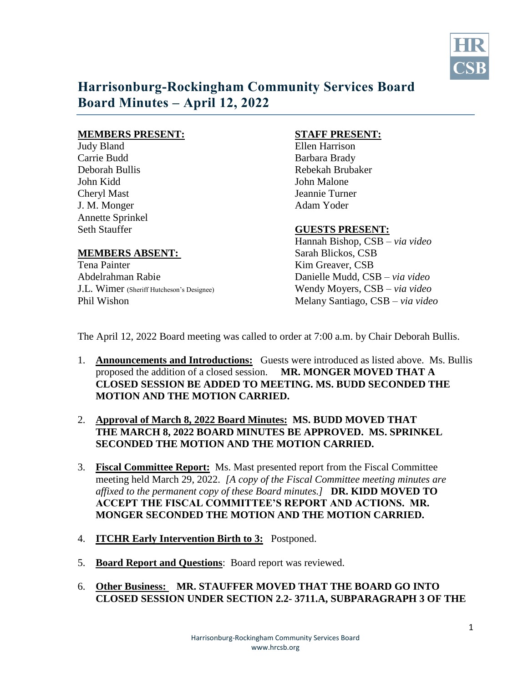

# **Harrisonburg-Rockingham Community Services Board Board Minutes – April 12, 2022**

### **MEMBERS PRESENT: STAFF PRESENT:**

Judy Bland Ellen Harrison Carrie Budd Barbara Brady John Kidd John Malone Cheryl Mast Jeannie Turner J. M. Monger Adam Yoder Annette Sprinkel

# **MEMBERS ABSENT:** Sarah Blickos, CSB

Tena Painter **Kim Greaver**, CSB Abdelrahman Rabie Danielle Mudd, CSB – *via video*  J.L. Wimer (Sheriff Hutcheson's Designee) Wendy Moyers, CSB – *via video* 

Deborah Bullis Rebekah Brubaker

### Seth Stauffer **GUESTS PRESENT:**

Hannah Bishop, CSB – *via video*  Phil Wishon Melany Santiago, CSB – *via video*

The April 12, 2022 Board meeting was called to order at 7:00 a.m. by Chair Deborah Bullis.

- 1. **Announcements and Introductions:** Guests were introduced as listed above. Ms. Bullis proposed the addition of a closed session. **MR. MONGER MOVED THAT A CLOSED SESSION BE ADDED TO MEETING. MS. BUDD SECONDED THE MOTION AND THE MOTION CARRIED.**
- 2. **Approval of March 8, 2022 Board Minutes: MS. BUDD MOVED THAT THE MARCH 8, 2022 BOARD MINUTES BE APPROVED. MS. SPRINKEL SECONDED THE MOTION AND THE MOTION CARRIED.**
- 3. **Fiscal Committee Report:** Ms. Mast presented report from the Fiscal Committee meeting held March 29, 2022. *[A copy of the Fiscal Committee meeting minutes are affixed to the permanent copy of these Board minutes.]* **DR. KIDD MOVED TO ACCEPT THE FISCAL COMMITTEE'S REPORT AND ACTIONS. MR. MONGER SECONDED THE MOTION AND THE MOTION CARRIED.**
- 4. **ITCHR Early Intervention Birth to 3:** Postponed.
- 5. **Board Report and Questions**: Board report was reviewed.
- 6. **Other Business: MR. STAUFFER MOVED THAT THE BOARD GO INTO CLOSED SESSION UNDER SECTION 2.2- 3711.A, SUBPARAGRAPH 3 OF THE**